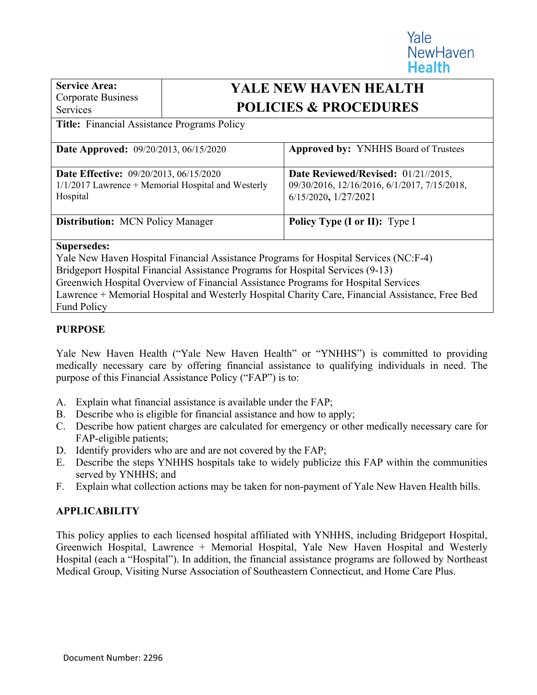**Service Area:**  Corporate Business Services

# **YALE NEW HAVEN HEALTH POLICIES & PROCEDURES**

Yale

**NewHaven** 

**Health** 

### **Title:** Financial Assistance Programs Policy

| <b>Date Approved:</b> 09/20/2013, 06/15/2020         | <b>Approved by: YNHHS Board of Trustees</b>  |  |  |
|------------------------------------------------------|----------------------------------------------|--|--|
| <b>Date Effective:</b> 09/20/2013, 06/15/2020        | Date Reviewed/Revised: 01/21//2015,          |  |  |
| $1/1/2017$ Lawrence + Memorial Hospital and Westerly | 09/30/2016, 12/16/2016, 6/1/2017, 7/15/2018, |  |  |
|                                                      |                                              |  |  |
| Hospital                                             | 6/15/2020, 1/27/2021                         |  |  |
|                                                      |                                              |  |  |
| <b>Distribution:</b> MCN Policy Manager              | <b>Policy Type (I or II):</b> Type I         |  |  |
|                                                      |                                              |  |  |
| <b>Supersedes:</b>                                   |                                              |  |  |

Yale New Haven Hospital Financial Assistance Programs for Hospital Services (NC:F-4) Bridgeport Hospital Financial Assistance Programs for Hospital Services (9-13) Greenwich Hospital Overview of Financial Assistance Programs for Hospital Services Lawrence + Memorial Hospital and Westerly Hospital Charity Care, Financial Assistance, Free Bed Fund Policy

# **PURPOSE**

Yale New Haven Health ("Yale New Haven Health" or "YNHHS") is committed to providing medically necessary care by offering financial assistance to qualifying individuals in need. The purpose of this Financial Assistance Policy ("FAP") is to:

- A. Explain what financial assistance is available under the FAP;
- B. Describe who is eligible for financial assistance and how to apply;
- C. Describe how patient charges are calculated for emergency or other medically necessary care for FAP-eligible patients;
- D. Identify providers who are and are not covered by the FAP;
- E. Describe the steps YNHHS hospitals take to widely publicize this FAP within the communities served by YNHHS; and
- F. Explain what collection actions may be taken for non-payment of Yale New Haven Health bills.

# **APPLICABILITY**

This policy applies to each licensed hospital affiliated with YNHHS, including Bridgeport Hospital, Greenwich Hospital, Lawrence + Memorial Hospital, Yale New Haven Hospital and Westerly Hospital (each a "Hospital"). In addition, the financial assistance programs are followed by Northeast Medical Group, Visiting Nurse Association of Southeastern Connecticut, and Home Care Plus.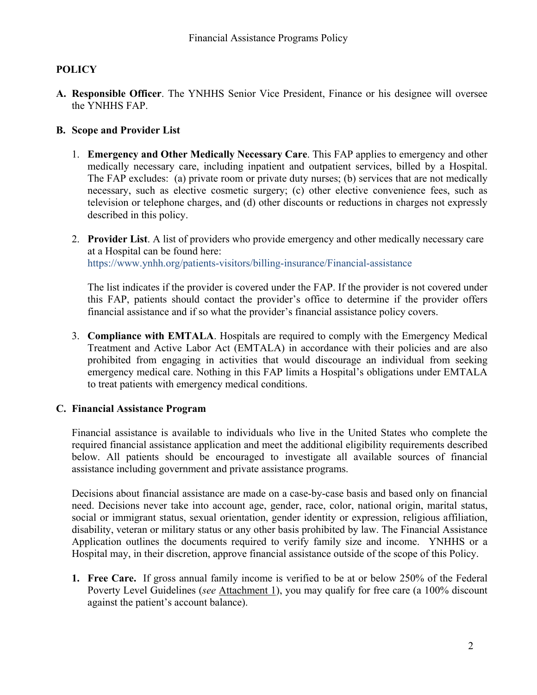# **POLICY**

**A. Responsible Officer**. The YNHHS Senior Vice President, Finance or his designee will oversee the YNHHS FAP.

# **B. Scope and Provider List**

- 1. **Emergency and Other Medically Necessary Care**. This FAP applies to emergency and other medically necessary care, including inpatient and outpatient services, billed by a Hospital. The FAP excludes: (a) private room or private duty nurses; (b) services that are not medically necessary, such as elective cosmetic surgery; (c) other elective convenience fees, such as television or telephone charges, and (d) other discounts or reductions in charges not expressly described in this policy.
- 2. **Provider List**. A list of providers who provide emergency and other medically necessary care at a Hospital can be found here: https://www.ynhh.org/patients-visitors/billing-insurance/Financial-assistance

The list indicates if the provider is covered under the FAP. If the provider is not covered under this FAP, patients should contact the provider's office to determine if the provider offers financial assistance and if so what the provider's financial assistance policy covers.

3. **Compliance with EMTALA**. Hospitals are required to comply with the Emergency Medical Treatment and Active Labor Act (EMTALA) in accordance with their policies and are also prohibited from engaging in activities that would discourage an individual from seeking emergency medical care. Nothing in this FAP limits a Hospital's obligations under EMTALA to treat patients with emergency medical conditions.

# **C. Financial Assistance Program**

Financial assistance is available to individuals who live in the United States who complete the required financial assistance application and meet the additional eligibility requirements described below. All patients should be encouraged to investigate all available sources of financial assistance including government and private assistance programs.

Decisions about financial assistance are made on a case-by-case basis and based only on financial need. Decisions never take into account age, gender, race, color, national origin, marital status, social or immigrant status, sexual orientation, gender identity or expression, religious affiliation, disability, veteran or military status or any other basis prohibited by law. The Financial Assistance Application outlines the documents required to verify family size and income. YNHHS or a Hospital may, in their discretion, approve financial assistance outside of the scope of this Policy.

**1. Free Care.** If gross annual family income is verified to be at or below 250% of the Federal Poverty Level Guidelines (*see* Attachment 1), you may qualify for free care (a 100% discount against the patient's account balance).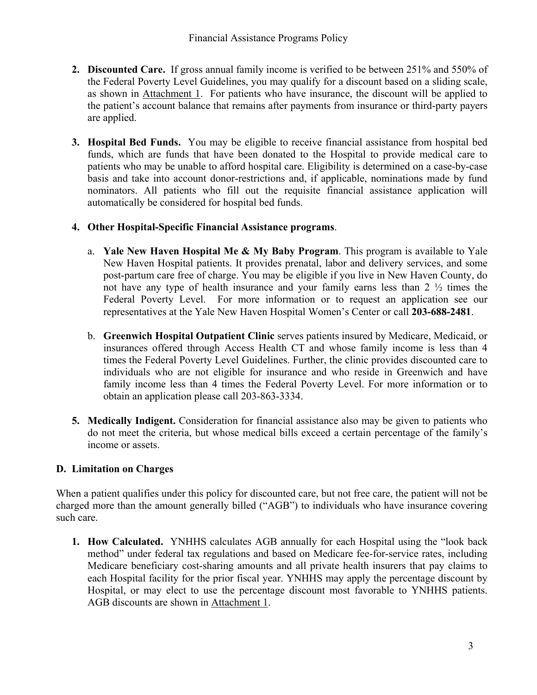- **2. Discounted Care.** If gross annual family income is verified to be between 251% and 550% of the Federal Poverty Level Guidelines, you may qualify for a discount based on a sliding scale, as shown in Attachment 1. For patients who have insurance, the discount will be applied to the patient's account balance that remains after payments from insurance or third-party payers are applied.
- **3. Hospital Bed Funds.** You may be eligible to receive financial assistance from hospital bed funds, which are funds that have been donated to the Hospital to provide medical care to patients who may be unable to afford hospital care. Eligibility is determined on a case-by-case basis and take into account donor-restrictions and, if applicable, nominations made by fund nominators. All patients who fill out the requisite financial assistance application will automatically be considered for hospital bed funds.

# **4. Other Hospital-Specific Financial Assistance programs**.

- a. **Yale New Haven Hospital Me & My Baby Program**. This program is available to Yale New Haven Hospital patients. It provides prenatal, labor and delivery services, and some post-partum care free of charge. You may be eligible if you live in New Haven County, do not have any type of health insurance and your family earns less than 2 ½ times the Federal Poverty Level. For more information or to request an application see our representatives at the Yale New Haven Hospital Women's Center or call **203-688-2481**.
- b. **Greenwich Hospital Outpatient Clinic** serves patients insured by Medicare, Medicaid, or insurances offered through Access Health CT and whose family income is less than 4 times the Federal Poverty Level Guidelines. Further, the clinic provides discounted care to individuals who are not eligible for insurance and who reside in Greenwich and have family income less than 4 times the Federal Poverty Level. For more information or to obtain an application please call 203-863-3334.
- **5. Medically Indigent.** Consideration for financial assistance also may be given to patients who do not meet the criteria, but whose medical bills exceed a certain percentage of the family's income or assets.

# **D. Limitation on Charges**

When a patient qualifies under this policy for discounted care, but not free care, the patient will not be charged more than the amount generally billed ("AGB") to individuals who have insurance covering such care.

**1. How Calculated.** YNHHS calculates AGB annually for each Hospital using the "look back method" under federal tax regulations and based on Medicare fee-for-service rates, including Medicare beneficiary cost-sharing amounts and all private health insurers that pay claims to each Hospital facility for the prior fiscal year. YNHHS may apply the percentage discount by Hospital, or may elect to use the percentage discount most favorable to YNHHS patients. AGB discounts are shown in Attachment 1.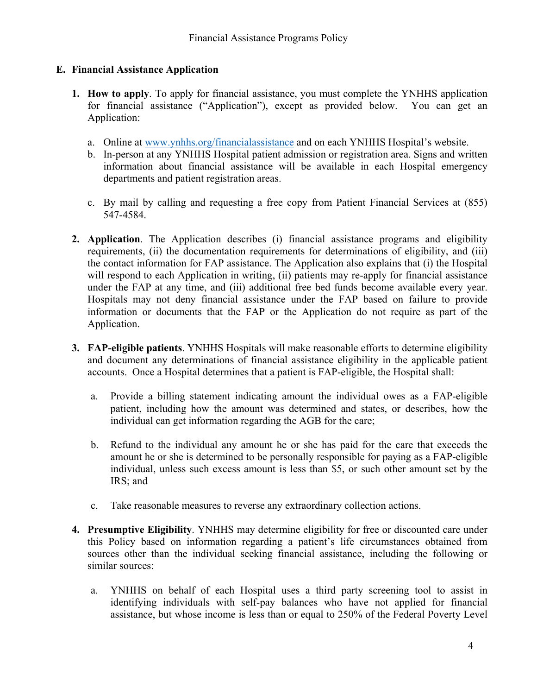# **E. Financial Assistance Application**

- **1. How to apply**. To apply for financial assistance, you must complete the YNHHS application for financial assistance ("Application"), except as provided below. You can get an Application:
	- a. Online at [www.ynhhs.org/financialassistance](http://www.ynhhs.org/financialassistance) and on each YNHHS Hospital's website.
	- b. In-person at any YNHHS Hospital patient admission or registration area. Signs and written information about financial assistance will be available in each Hospital emergency departments and patient registration areas.
	- c. By mail by calling and requesting a free copy from Patient Financial Services at (855) 547-4584.
- **2. Application**. The Application describes (i) financial assistance programs and eligibility requirements, (ii) the documentation requirements for determinations of eligibility, and (iii) the contact information for FAP assistance. The Application also explains that (i) the Hospital will respond to each Application in writing, (ii) patients may re-apply for financial assistance under the FAP at any time, and (iii) additional free bed funds become available every year. Hospitals may not deny financial assistance under the FAP based on failure to provide information or documents that the FAP or the Application do not require as part of the Application.
- **3. FAP-eligible patients**. YNHHS Hospitals will make reasonable efforts to determine eligibility and document any determinations of financial assistance eligibility in the applicable patient accounts. Once a Hospital determines that a patient is FAP-eligible, the Hospital shall:
	- a. Provide a billing statement indicating amount the individual owes as a FAP-eligible patient, including how the amount was determined and states, or describes, how the individual can get information regarding the AGB for the care;
	- b. Refund to the individual any amount he or she has paid for the care that exceeds the amount he or she is determined to be personally responsible for paying as a FAP-eligible individual, unless such excess amount is less than \$5, or such other amount set by the IRS; and
	- c. Take reasonable measures to reverse any extraordinary collection actions.
- **4. Presumptive Eligibility**. YNHHS may determine eligibility for free or discounted care under this Policy based on information regarding a patient's life circumstances obtained from sources other than the individual seeking financial assistance, including the following or similar sources:
	- a. YNHHS on behalf of each Hospital uses a third party screening tool to assist in identifying individuals with self-pay balances who have not applied for financial assistance, but whose income is less than or equal to 250% of the Federal Poverty Level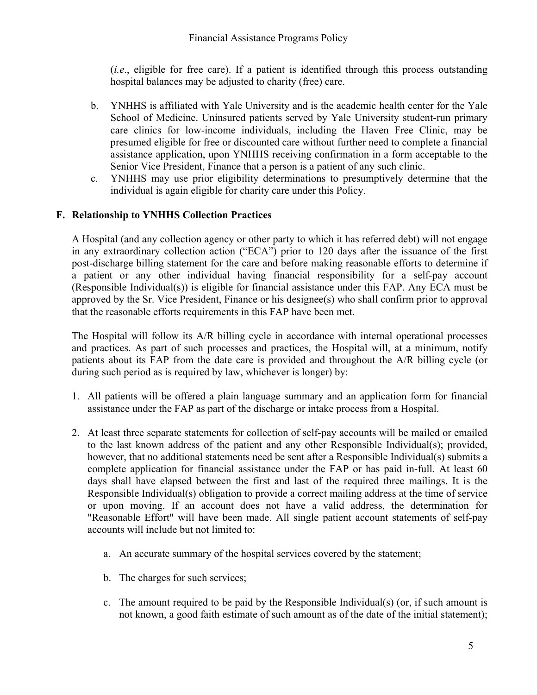(*i.e*., eligible for free care). If a patient is identified through this process outstanding hospital balances may be adjusted to charity (free) care.

- b. YNHHS is affiliated with Yale University and is the academic health center for the Yale School of Medicine. Uninsured patients served by Yale University student-run primary care clinics for low-income individuals, including the Haven Free Clinic, may be presumed eligible for free or discounted care without further need to complete a financial assistance application, upon YNHHS receiving confirmation in a form acceptable to the Senior Vice President, Finance that a person is a patient of any such clinic.
- c. YNHHS may use prior eligibility determinations to presumptively determine that the individual is again eligible for charity care under this Policy.

# **F. Relationship to YNHHS Collection Practices**

A Hospital (and any collection agency or other party to which it has referred debt) will not engage in any extraordinary collection action ("ECA") prior to 120 days after the issuance of the first post-discharge billing statement for the care and before making reasonable efforts to determine if a patient or any other individual having financial responsibility for a self-pay account (Responsible Individual(s)) is eligible for financial assistance under this FAP. Any ECA must be approved by the Sr. Vice President, Finance or his designee(s) who shall confirm prior to approval that the reasonable efforts requirements in this FAP have been met.

The Hospital will follow its A/R billing cycle in accordance with internal operational processes and practices. As part of such processes and practices, the Hospital will, at a minimum, notify patients about its FAP from the date care is provided and throughout the A/R billing cycle (or during such period as is required by law, whichever is longer) by:

- 1. All patients will be offered a plain language summary and an application form for financial assistance under the FAP as part of the discharge or intake process from a Hospital.
- 2. At least three separate statements for collection of self-pay accounts will be mailed or emailed to the last known address of the patient and any other Responsible Individual(s); provided, however, that no additional statements need be sent after a Responsible Individual(s) submits a complete application for financial assistance under the FAP or has paid in-full. At least 60 days shall have elapsed between the first and last of the required three mailings. It is the Responsible Individual(s) obligation to provide a correct mailing address at the time of service or upon moving. If an account does not have a valid address, the determination for "Reasonable Effort" will have been made. All single patient account statements of self-pay accounts will include but not limited to:
	- a. An accurate summary of the hospital services covered by the statement;
	- b. The charges for such services;
	- c. The amount required to be paid by the Responsible Individual(s) (or, if such amount is not known, a good faith estimate of such amount as of the date of the initial statement);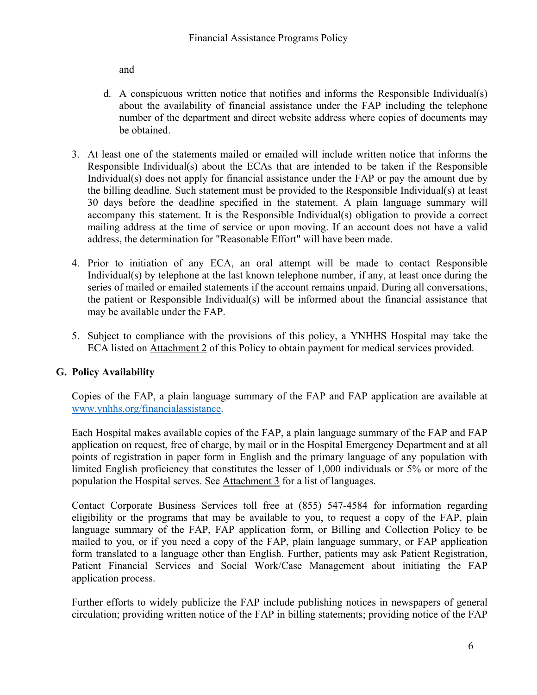and

- d. A conspicuous written notice that notifies and informs the Responsible Individual(s) about the availability of financial assistance under the FAP including the telephone number of the department and direct website address where copies of documents may be obtained.
- 3. At least one of the statements mailed or emailed will include written notice that informs the Responsible Individual(s) about the ECAs that are intended to be taken if the Responsible Individual(s) does not apply for financial assistance under the FAP or pay the amount due by the billing deadline. Such statement must be provided to the Responsible Individual(s) at least 30 days before the deadline specified in the statement. A plain language summary will accompany this statement. It is the Responsible Individual(s) obligation to provide a correct mailing address at the time of service or upon moving. If an account does not have a valid address, the determination for "Reasonable Effort" will have been made.
- 4. Prior to initiation of any ECA, an oral attempt will be made to contact Responsible Individual(s) by telephone at the last known telephone number, if any, at least once during the series of mailed or emailed statements if the account remains unpaid. During all conversations, the patient or Responsible Individual(s) will be informed about the financial assistance that may be available under the FAP.
- 5. Subject to compliance with the provisions of this policy, a YNHHS Hospital may take the ECA listed on Attachment 2 of this Policy to obtain payment for medical services provided.

# **G. Policy Availability**

Copies of the FAP, a plain language summary of the FAP and FAP application are available at [www.ynhhs.org/financialassistance.](http://www.ynhhs.org/financialassistance)

Each Hospital makes available copies of the FAP, a plain language summary of the FAP and FAP application on request, free of charge, by mail or in the Hospital Emergency Department and at all points of registration in paper form in English and the primary language of any population with limited English proficiency that constitutes the lesser of 1,000 individuals or 5% or more of the population the Hospital serves. See Attachment 3 for a list of languages.

Contact Corporate Business Services toll free at (855) 547-4584 for information regarding eligibility or the programs that may be available to you, to request a copy of the FAP, plain language summary of the FAP, FAP application form, or Billing and Collection Policy to be mailed to you, or if you need a copy of the FAP, plain language summary, or FAP application form translated to a language other than English. Further, patients may ask Patient Registration, Patient Financial Services and Social Work/Case Management about initiating the FAP application process.

Further efforts to widely publicize the FAP include publishing notices in newspapers of general circulation; providing written notice of the FAP in billing statements; providing notice of the FAP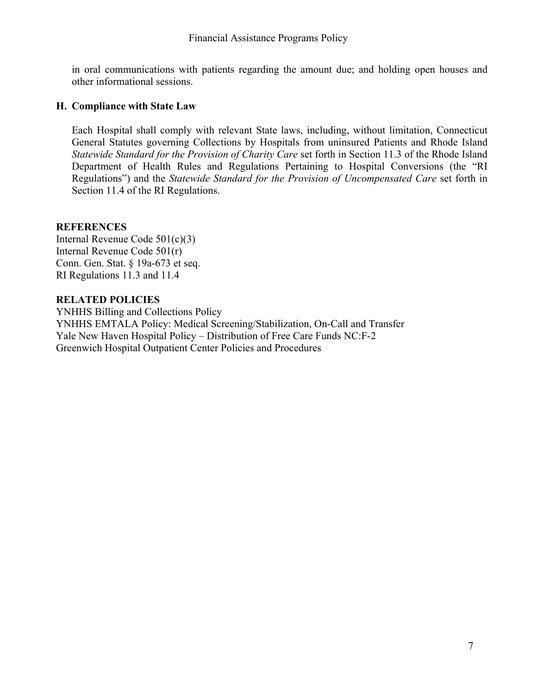in oral communications with patients regarding the amount due; and holding open houses and other informational sessions.

#### **H. Compliance with State Law**

Each Hospital shall comply with relevant State laws, including, without limitation, Connecticut General Statutes governing Collections by Hospitals from uninsured Patients and Rhode Island *Statewide Standard for the Provision of Charity Care* set forth in Section 11.3 of the Rhode Island Department of Health Rules and Regulations Pertaining to Hospital Conversions (the "RI Regulations") and the *Statewide Standard for the Provision of Uncompensated Care* set forth in Section 11.4 of the RI Regulations.

# **REFERENCES**

Internal Revenue Code 501(c)(3) Internal Revenue Code 501(r) Conn. Gen. Stat. § 19a-673 et seq. RI Regulations 11.3 and 11.4

#### **RELATED POLICIES**

YNHHS Billing and Collections Policy YNHHS EMTALA Policy: Medical Screening/Stabilization, On-Call and Transfer Yale New Haven Hospital Policy – Distribution of Free Care Funds NC:F-2 Greenwich Hospital Outpatient Center Policies and Procedures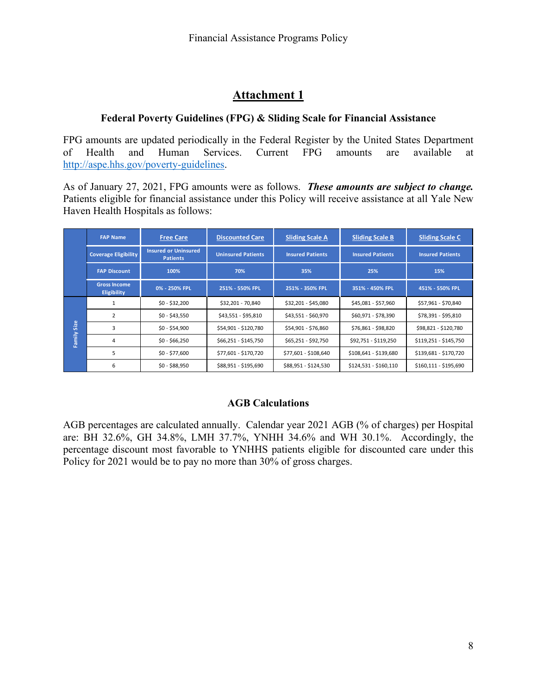# **Attachment 1**

# **Federal Poverty Guidelines (FPG) & Sliding Scale for Financial Assistance**

FPG amounts are updated periodically in the Federal Register by the United States Department of Health and Human Services. Current FPG amounts are available at [http://aspe.hhs.gov/poverty-guidelines.](http://aspe.hhs.gov/poverty-guidelines)

As of January 27, 2021, FPG amounts were as follows. *These amounts are subject to change.* Patients eligible for financial assistance under this Policy will receive assistance at all Yale New Haven Health Hospitals as follows:

|                       | <b>FAP Name</b>                           | <b>Free Care</b>                               | <b>Discounted Care</b>    | <b>Sliding Scale A</b>  | <b>Sliding Scale B</b>  | <b>Sliding Scale C</b>  |
|-----------------------|-------------------------------------------|------------------------------------------------|---------------------------|-------------------------|-------------------------|-------------------------|
|                       | <b>Coverage Eligibility</b>               | <b>Insured or Uninsured</b><br><b>Patients</b> | <b>Uninsured Patients</b> | <b>Insured Patients</b> | <b>Insured Patients</b> | <b>Insured Patients</b> |
|                       | <b>FAP Discount</b>                       | 100%                                           | 70%                       | 35%                     | 25%                     | 15%                     |
|                       | <b>Gross Income</b><br><b>Eligibility</b> | 0% - 250% FPL                                  | 251% - 550% FPL           | 251% - 350% FPL         | 351% - 450% FPL         | 451% - 550% FPL         |
| Size<br><b>Family</b> |                                           | $$0 - $32,200$                                 | \$32,201 - 70,840         | \$32,201 - \$45,080     | \$45,081 - \$57,960     | \$57,961 - \$70,840     |
|                       | $\overline{2}$                            | $$0 - $43,550$                                 | \$43,551 - \$95,810       | \$43,551 - \$60,970     | \$60,971 - \$78,390     | \$78,391 - \$95,810     |
|                       | 3                                         | $$0 - $54,900$                                 | \$54,901 - \$120,780      | \$54,901 - \$76,860     | \$76,861 - \$98,820     | \$98,821 - \$120,780    |
|                       | 4                                         | $$0 - $66,250$                                 | \$66,251 - \$145,750      | \$65,251 - \$92,750     | \$92,751 - \$119,250    | \$119,251 - \$145,750   |
|                       | 5                                         | $$0 - $77,600$                                 | \$77,601 - \$170,720      | \$77,601 - \$108,640    | \$108,641 - \$139,680   | \$139,681 - \$170,720   |
|                       | 6                                         | $$0 - $88,950$                                 | \$88,951 - \$195,690      | \$88,951 - \$124,530    | \$124,531 - \$160,110   | \$160,111 - \$195,690   |

# **AGB Calculations**

AGB percentages are calculated annually. Calendar year 2021 AGB (% of charges) per Hospital are: BH 32.6%, GH 34.8%, LMH 37.7%, YNHH 34.6% and WH 30.1%. Accordingly, the percentage discount most favorable to YNHHS patients eligible for discounted care under this Policy for 2021 would be to pay no more than 30% of gross charges.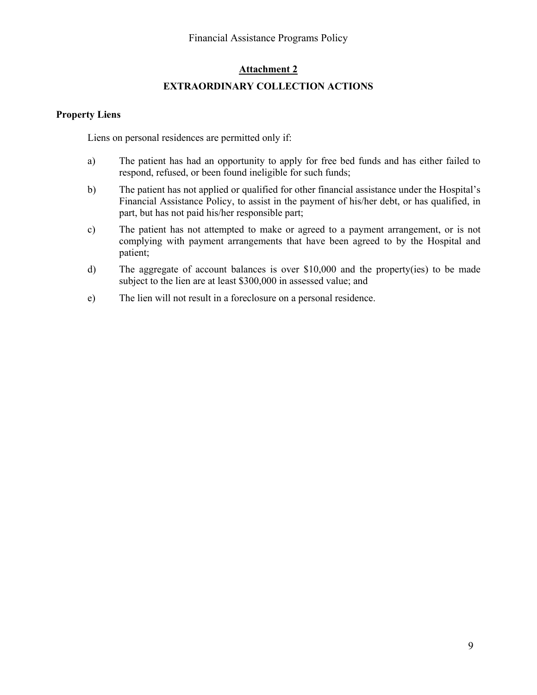#### **Attachment 2**

#### **EXTRAORDINARY COLLECTION ACTIONS**

#### **Property Liens**

Liens on personal residences are permitted only if:

- a) The patient has had an opportunity to apply for free bed funds and has either failed to respond, refused, or been found ineligible for such funds;
- b) The patient has not applied or qualified for other financial assistance under the Hospital's Financial Assistance Policy, to assist in the payment of his/her debt, or has qualified, in part, but has not paid his/her responsible part;
- c) The patient has not attempted to make or agreed to a payment arrangement, or is not complying with payment arrangements that have been agreed to by the Hospital and patient;
- d) The aggregate of account balances is over \$10,000 and the property(ies) to be made subject to the lien are at least \$300,000 in assessed value; and
- e) The lien will not result in a foreclosure on a personal residence.